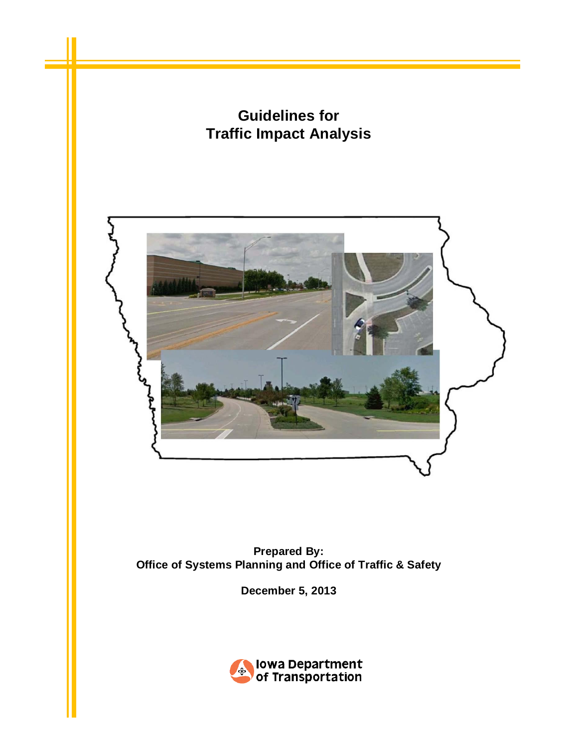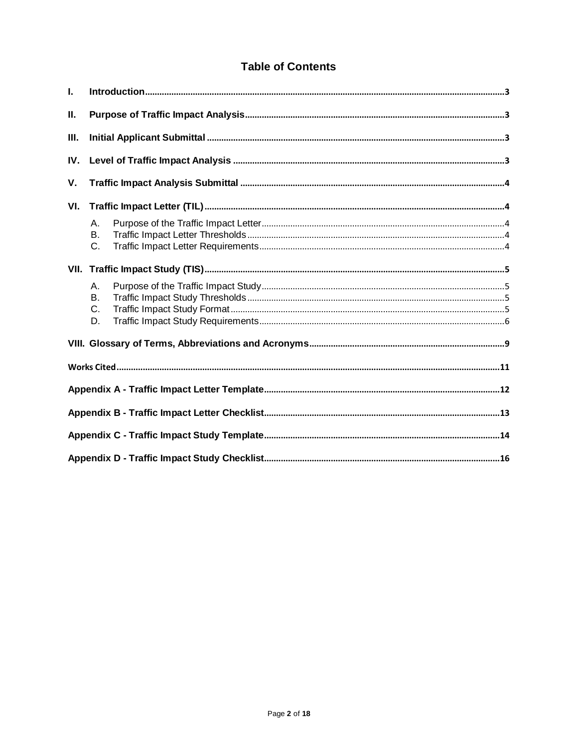# **Table of Contents**

| L.   |                            |  |  |  |  |  |
|------|----------------------------|--|--|--|--|--|
| Ш.   |                            |  |  |  |  |  |
| III. |                            |  |  |  |  |  |
| IV.  |                            |  |  |  |  |  |
| V.   |                            |  |  |  |  |  |
| VI.  |                            |  |  |  |  |  |
|      | Α.<br>B <sub>1</sub><br>C. |  |  |  |  |  |
|      |                            |  |  |  |  |  |
|      | Α.<br>Β.<br>C.<br>D.       |  |  |  |  |  |
|      |                            |  |  |  |  |  |
|      |                            |  |  |  |  |  |
|      |                            |  |  |  |  |  |
|      |                            |  |  |  |  |  |
|      |                            |  |  |  |  |  |
|      |                            |  |  |  |  |  |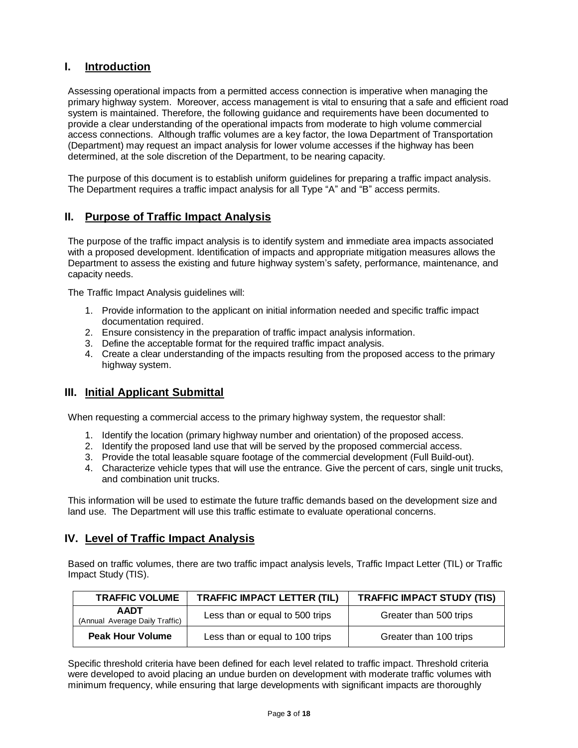## <span id="page-2-0"></span>**I. Introduction**

Assessing operational impacts from a permitted access connection is imperative when managing the primary highway system. Moreover, access management is vital to ensuring that a safe and efficient road system is maintained. Therefore, the following guidance and requirements have been documented to provide a clear understanding of the operational impacts from moderate to high volume commercial access connections. Although traffic volumes are a key factor, the Iowa Department of Transportation (Department) may request an impact analysis for lower volume accesses if the highway has been determined, at the sole discretion of the Department, to be nearing capacity.

The purpose of this document is to establish uniform guidelines for preparing a traffic impact analysis. The Department requires a traffic impact analysis for all Type "A" and "B" access permits.

## <span id="page-2-1"></span>**II. Purpose of Traffic Impact Analysis**

The purpose of the traffic impact analysis is to identify system and immediate area impacts associated with a proposed development. Identification of impacts and appropriate mitigation measures allows the Department to assess the existing and future highway system's safety, performance, maintenance, and capacity needs.

The Traffic Impact Analysis guidelines will:

- 1. Provide information to the applicant on initial information needed and specific traffic impact documentation required.
- 2. Ensure consistency in the preparation of traffic impact analysis information.
- 3. Define the acceptable format for the required traffic impact analysis.
- 4. Create a clear understanding of the impacts resulting from the proposed access to the primary highway system.

## <span id="page-2-2"></span>**III. Initial Applicant Submittal**

When requesting a commercial access to the primary highway system, the requestor shall:

- 1. Identify the location (primary highway number and orientation) of the proposed access.
- 2. Identify the proposed land use that will be served by the proposed commercial access.
- 3. Provide the total leasable square footage of the commercial development (Full Build-out).
- 4. Characterize vehicle types that will use the entrance. Give the percent of cars, single unit trucks, and combination unit trucks.

This information will be used to estimate the future traffic demands based on the development size and land use. The Department will use this traffic estimate to evaluate operational concerns.

### <span id="page-2-3"></span>**IV. Level of Traffic Impact Analysis**

Based on traffic volumes, there are two traffic impact analysis levels, Traffic Impact Letter (TIL) or Traffic Impact Study (TIS).

| <b>TRAFFIC VOLUME</b>                         | <b>TRAFFIC IMPACT LETTER (TIL)</b> | <b>TRAFFIC IMPACT STUDY (TIS)</b> |
|-----------------------------------------------|------------------------------------|-----------------------------------|
| <b>AADT</b><br>(Annual Average Daily Traffic) | Less than or equal to 500 trips    | Greater than 500 trips            |
| <b>Peak Hour Volume</b>                       | Less than or equal to 100 trips    | Greater than 100 trips            |

Specific threshold criteria have been defined for each level related to traffic impact. Threshold criteria were developed to avoid placing an undue burden on development with moderate traffic volumes with minimum frequency, while ensuring that large developments with significant impacts are thoroughly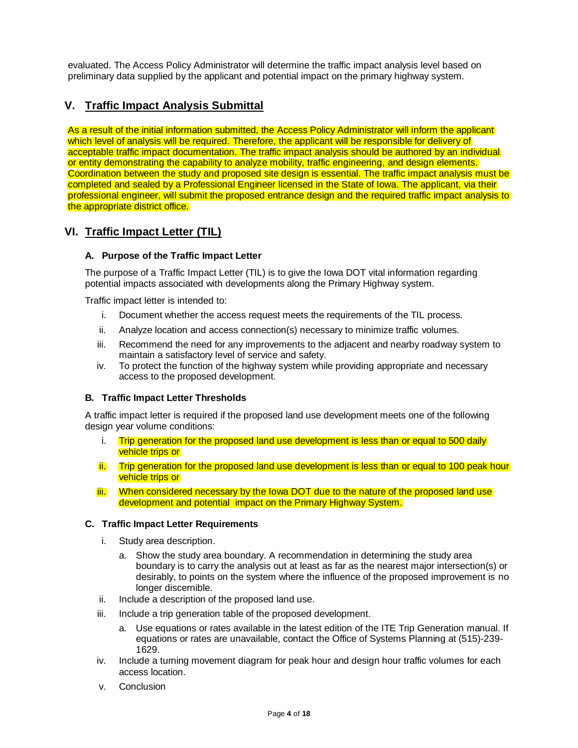evaluated. The Access Policy Administrator will determine the traffic impact analysis level based on preliminary data supplied by the applicant and potential impact on the primary highway system.

## <span id="page-3-0"></span>**V. Traffic Impact Analysis Submittal**

As a result of the initial information submitted, the Access Policy Administrator will inform the applicant which level of analysis will be required. Therefore, the applicant will be responsible for delivery of acceptable traffic impact documentation. The traffic impact analysis should be authored by an individual or entity demonstrating the capability to analyze mobility, traffic engineering, and design elements. Coordination between the study and proposed site design is essential. The traffic impact analysis must be completed and sealed by a Professional Engineer licensed in the State of Iowa. The applicant, via their professional engineer, will submit the proposed entrance design and the required traffic impact analysis to the appropriate district office.

### <span id="page-3-1"></span>**VI. Traffic Impact Letter (TIL)**

#### <span id="page-3-2"></span>**A. Purpose of the Traffic Impact Letter**

The purpose of a Traffic Impact Letter (TIL) is to give the Iowa DOT vital information regarding potential impacts associated with developments along the Primary Highway system.

Traffic impact letter is intended to:

- i. Document whether the access request meets the requirements of the TIL process.
- ii. Analyze location and access connection(s) necessary to minimize traffic volumes.
- iii. Recommend the need for any improvements to the adjacent and nearby roadway system to maintain a satisfactory level of service and safety.
- iv. To protect the function of the highway system while providing appropriate and necessary access to the proposed development.

#### <span id="page-3-3"></span>**B. Traffic Impact Letter Thresholds**

A traffic impact letter is required if the proposed land use development meets one of the following design year volume conditions:

- i. Trip generation for the proposed land use development is less than or equal to 500 daily vehicle trips or
- ii. Trip generation for the proposed land use development is less than or equal to 100 peak hour vehicle trips or
- iii. When considered necessary by the Iowa DOT due to the nature of the proposed land use development and potential impact on the Primary Highway System.

#### <span id="page-3-4"></span>**C. Traffic Impact Letter Requirements**

- i. Study area description.
	- a. Show the study area boundary. A recommendation in determining the study area boundary is to carry the analysis out at least as far as the nearest major intersection(s) or desirably, to points on the system where the influence of the proposed improvement is no longer discernible.
- ii. Include a description of the proposed land use.
- iii. Include a trip generation table of the proposed development.
	- a. Use equations or rates available in the latest edition of the ITE Trip Generation manual. If equations or rates are unavailable, contact the Office of Systems Planning at (515)-239- 1629.
- iv. Include a turning movement diagram for peak hour and design hour traffic volumes for each access location.
- v. Conclusion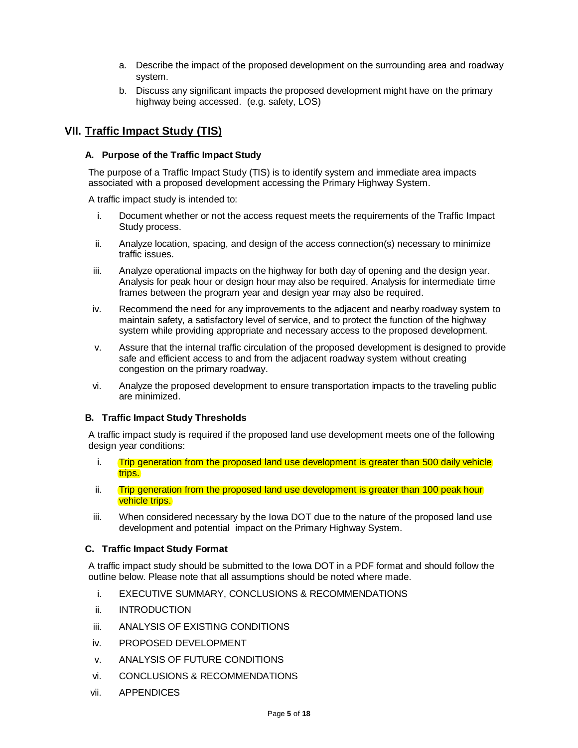- a. Describe the impact of the proposed development on the surrounding area and roadway system.
- b. Discuss any significant impacts the proposed development might have on the primary highway being accessed. (e.g. safety, LOS)

### <span id="page-4-0"></span>**VII. Traffic Impact Study (TIS)**

#### <span id="page-4-1"></span>**A. Purpose of the Traffic Impact Study**

The purpose of a Traffic Impact Study (TIS) is to identify system and immediate area impacts associated with a proposed development accessing the Primary Highway System.

A traffic impact study is intended to:

- i. Document whether or not the access request meets the requirements of the Traffic Impact Study process.
- ii. Analyze location, spacing, and design of the access connection(s) necessary to minimize traffic issues.
- iii. Analyze operational impacts on the highway for both day of opening and the design year. Analysis for peak hour or design hour may also be required. Analysis for intermediate time frames between the program year and design year may also be required.
- iv. Recommend the need for any improvements to the adjacent and nearby roadway system to maintain safety, a satisfactory level of service, and to protect the function of the highway system while providing appropriate and necessary access to the proposed development.
- v. Assure that the internal traffic circulation of the proposed development is designed to provide safe and efficient access to and from the adjacent roadway system without creating congestion on the primary roadway.
- vi. Analyze the proposed development to ensure transportation impacts to the traveling public are minimized.

### <span id="page-4-2"></span>**B. Traffic Impact Study Thresholds**

A traffic impact study is required if the proposed land use development meets one of the following design year conditions:

- i. Trip generation from the proposed land use development is greater than 500 daily vehicle trips.
- ii. Trip generation from the proposed land use development is greater than 100 peak hour vehicle trips.
- iii. When considered necessary by the Iowa DOT due to the nature of the proposed land use development and potential impact on the Primary Highway System.

#### <span id="page-4-3"></span>**C. Traffic Impact Study Format**

A traffic impact study should be submitted to the Iowa DOT in a PDF format and should follow the outline below. Please note that all assumptions should be noted where made.

- i. EXECUTIVE SUMMARY, CONCLUSIONS & RECOMMENDATIONS
- ii. INTRODUCTION
- iii. ANALYSIS OF EXISTING CONDITIONS
- iv. PROPOSED DEVELOPMENT
- v. ANALYSIS OF FUTURE CONDITIONS
- vi. CONCLUSIONS & RECOMMENDATIONS
- vii. APPENDICES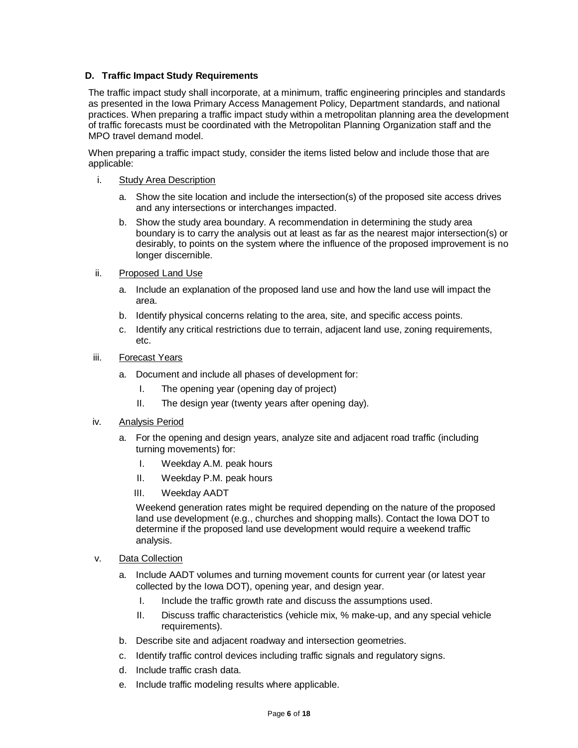### <span id="page-5-0"></span>**D. Traffic Impact Study Requirements**

The traffic impact study shall incorporate, at a minimum, traffic engineering principles and standards as presented in the Iowa Primary Access Management Policy, Department standards, and national practices. When preparing a traffic impact study within a metropolitan planning area the development of traffic forecasts must be coordinated with the Metropolitan Planning Organization staff and the MPO travel demand model.

When preparing a traffic impact study, consider the items listed below and include those that are applicable:

### i. Study Area Description

- a. Show the site location and include the intersection(s) of the proposed site access drives and any intersections or interchanges impacted.
- b. Show the study area boundary. A recommendation in determining the study area boundary is to carry the analysis out at least as far as the nearest major intersection(s) or desirably, to points on the system where the influence of the proposed improvement is no longer discernible.
- ii. Proposed Land Use
	- a. Include an explanation of the proposed land use and how the land use will impact the area.
	- b. Identify physical concerns relating to the area, site, and specific access points.
	- c. Identify any critical restrictions due to terrain, adjacent land use, zoning requirements, etc.

### iii. Forecast Years

- a. Document and include all phases of development for:
	- I. The opening year (opening day of project)
	- II. The design year (twenty years after opening day).

#### iv. Analysis Period

- a. For the opening and design years, analyze site and adjacent road traffic (including turning movements) for:
	- I. Weekday A.M. peak hours
	- II. Weekday P.M. peak hours
	- III. Weekday AADT

Weekend generation rates might be required depending on the nature of the proposed land use development (e.g., churches and shopping malls). Contact the Iowa DOT to determine if the proposed land use development would require a weekend traffic analysis.

- v. Data Collection
	- a. Include AADT volumes and turning movement counts for current year (or latest year collected by the Iowa DOT), opening year, and design year.
		- I. Include the traffic growth rate and discuss the assumptions used.
		- II. Discuss traffic characteristics (vehicle mix, % make-up, and any special vehicle requirements).
	- b. Describe site and adjacent roadway and intersection geometries.
	- c. Identify traffic control devices including traffic signals and regulatory signs.
	- d. Include traffic crash data.
	- e. Include traffic modeling results where applicable.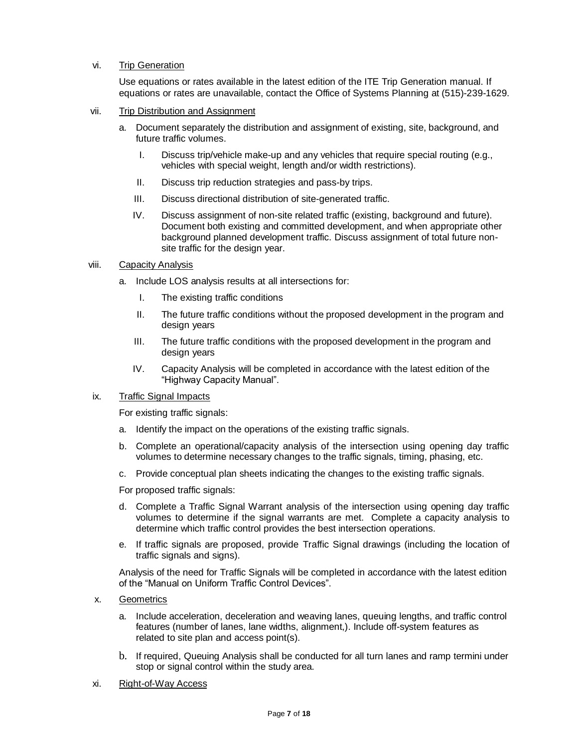#### vi. Trip Generation

Use equations or rates available in the latest edition of the ITE Trip Generation manual. If equations or rates are unavailable, contact the Office of Systems Planning at (515)-239-1629.

- vii. Trip Distribution and Assignment
	- a. Document separately the distribution and assignment of existing, site, background, and future traffic volumes.
		- I. Discuss trip/vehicle make-up and any vehicles that require special routing (e.g., vehicles with special weight, length and/or width restrictions).
		- II. Discuss trip reduction strategies and pass-by trips.
		- III. Discuss directional distribution of site-generated traffic.
		- IV. Discuss assignment of non-site related traffic (existing, background and future). Document both existing and committed development, and when appropriate other background planned development traffic. Discuss assignment of total future nonsite traffic for the design year.
- viii. Capacity Analysis
	- a. Include LOS analysis results at all intersections for:
		- I. The existing traffic conditions
		- II. The future traffic conditions without the proposed development in the program and design years
		- III. The future traffic conditions with the proposed development in the program and design years
		- IV. Capacity Analysis will be completed in accordance with the latest edition of the "Highway Capacity Manual".

#### ix. Traffic Signal Impacts

For existing traffic signals:

- a. Identify the impact on the operations of the existing traffic signals.
- b. Complete an operational/capacity analysis of the intersection using opening day traffic volumes to determine necessary changes to the traffic signals, timing, phasing, etc.
- c. Provide conceptual plan sheets indicating the changes to the existing traffic signals.

For proposed traffic signals:

- d. Complete a Traffic Signal Warrant analysis of the intersection using opening day traffic volumes to determine if the signal warrants are met. Complete a capacity analysis to determine which traffic control provides the best intersection operations.
- e. If traffic signals are proposed, provide Traffic Signal drawings (including the location of traffic signals and signs).

Analysis of the need for Traffic Signals will be completed in accordance with the latest edition of the "Manual on Uniform Traffic Control Devices".

- x. Geometrics
	- a. Include acceleration, deceleration and weaving lanes, queuing lengths, and traffic control features (number of lanes, lane widths, alignment,). Include off-system features as related to site plan and access point(s).
	- b. If required, Queuing Analysis shall be conducted for all turn lanes and ramp termini under stop or signal control within the study area.
- xi. Right-of-Way Access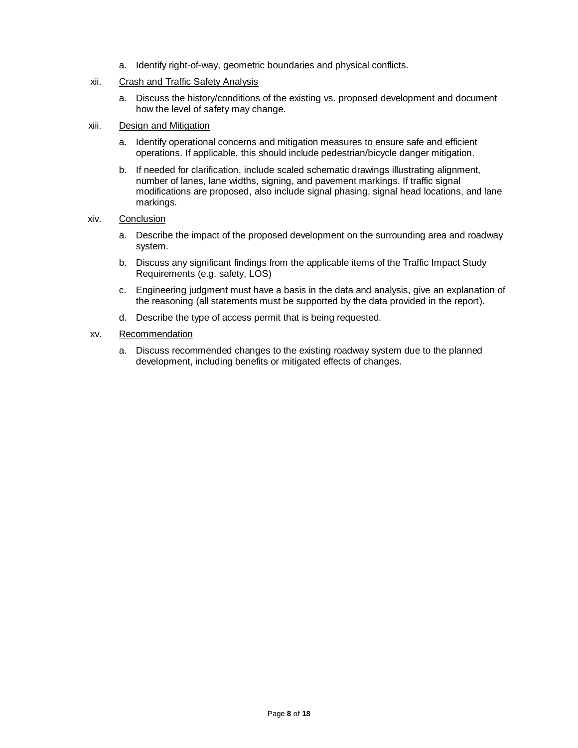a. Identify right-of-way, geometric boundaries and physical conflicts.

#### xii. Crash and Traffic Safety Analysis

a. Discuss the history/conditions of the existing vs. proposed development and document how the level of safety may change.

#### xiii. Design and Mitigation

- a. Identify operational concerns and mitigation measures to ensure safe and efficient operations. If applicable, this should include pedestrian/bicycle danger mitigation.
- b. If needed for clarification, include scaled schematic drawings illustrating alignment, number of lanes, lane widths, signing, and pavement markings. If traffic signal modifications are proposed, also include signal phasing, signal head locations, and lane markings.

#### xiv. Conclusion

- a. Describe the impact of the proposed development on the surrounding area and roadway system.
- b. Discuss any significant findings from the applicable items of the Traffic Impact Study Requirements (e.g. safety, LOS)
- c. Engineering judgment must have a basis in the data and analysis, give an explanation of the reasoning (all statements must be supported by the data provided in the report).
- d. Describe the type of access permit that is being requested.

#### xv. Recommendation

a. Discuss recommended changes to the existing roadway system due to the planned development, including benefits or mitigated effects of changes.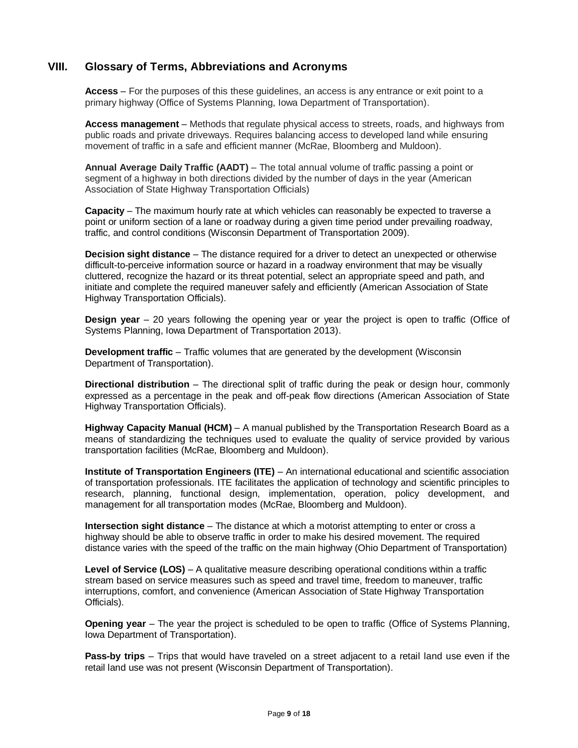### <span id="page-8-0"></span>**VIII. Glossary of Terms, Abbreviations and Acronyms**

**Access** – For the purposes of this these guidelines, an access is any entrance or exit point to a primary highway (Office of Systems Planning, Iowa Department of Transportation).

**Access management** – Methods that regulate physical access to streets, roads, and highways from public roads and private driveways. Requires balancing access to developed land while ensuring movement of traffic in a safe and efficient manner (McRae, Bloomberg and Muldoon).

**Annual Average Daily Traffic (AADT)** – The total annual volume of traffic passing a point or segment of a highway in both directions divided by the number of days in the year (American Association of State Highway Transportation Officials)

**Capacity** – The maximum hourly rate at which vehicles can reasonably be expected to traverse a point or uniform section of a lane or roadway during a given time period under prevailing roadway, traffic, and control conditions (Wisconsin Department of Transportation 2009).

**Decision sight distance** – The distance required for a driver to detect an unexpected or otherwise difficult-to-perceive information source or hazard in a roadway environment that may be visually cluttered, recognize the hazard or its threat potential, select an appropriate speed and path, and initiate and complete the required maneuver safely and efficiently (American Association of State Highway Transportation Officials).

**Design year** – 20 years following the opening year or year the project is open to traffic (Office of Systems Planning, Iowa Department of Transportation 2013).

**Development traffic** – Traffic volumes that are generated by the development (Wisconsin Department of Transportation).

**Directional distribution** – The directional split of traffic during the peak or design hour, commonly expressed as a percentage in the peak and off-peak flow directions (American Association of State Highway Transportation Officials).

**Highway Capacity Manual (HCM)** – A manual published by the Transportation Research Board as a means of standardizing the techniques used to evaluate the quality of service provided by various transportation facilities (McRae, Bloomberg and Muldoon).

**Institute of Transportation Engineers (ITE)** – An international educational and scientific association of transportation professionals. ITE facilitates the application of technology and scientific principles to research, planning, functional design, implementation, operation, policy development, and management for all transportation modes (McRae, Bloomberg and Muldoon).

**Intersection sight distance** – The distance at which a motorist attempting to enter or cross a highway should be able to observe traffic in order to make his desired movement. The required distance varies with the speed of the traffic on the main highway (Ohio Department of Transportation)

**Level of Service (LOS)** – A qualitative measure describing operational conditions within a traffic stream based on service measures such as speed and travel time, freedom to maneuver, traffic interruptions, comfort, and convenience (American Association of State Highway Transportation Officials).

**Opening year** – The year the project is scheduled to be open to traffic (Office of Systems Planning, Iowa Department of Transportation).

**Pass-by trips** – Trips that would have traveled on a street adjacent to a retail land use even if the retail land use was not present (Wisconsin Department of Transportation).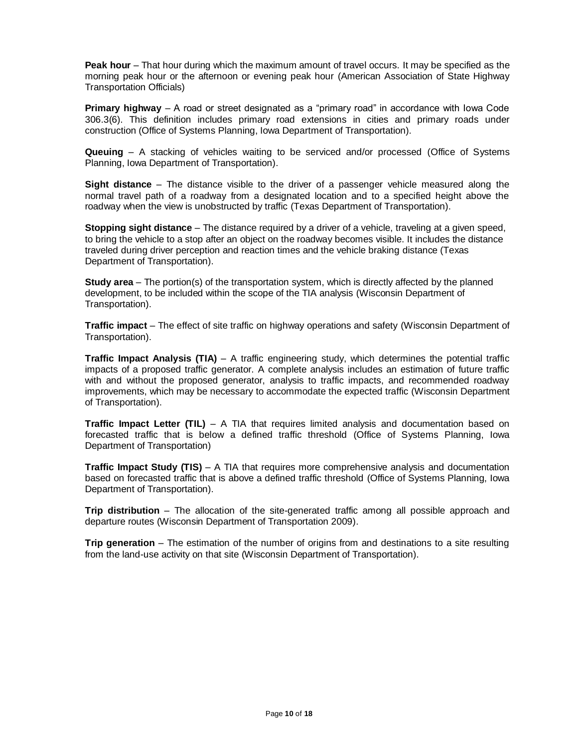**Peak hour** – That hour during which the maximum amount of travel occurs. It may be specified as the morning peak hour or the afternoon or evening peak hour (American Association of State Highway Transportation Officials)

**Primary highway** – A road or street designated as a "primary road" in accordance with Iowa Code 306.3(6). This definition includes primary road extensions in cities and primary roads under construction (Office of Systems Planning, Iowa Department of Transportation).

**Queuing** – A stacking of vehicles waiting to be serviced and/or processed (Office of Systems Planning, Iowa Department of Transportation).

**Sight distance** – The distance visible to the driver of a passenger vehicle measured along the normal travel path of a roadway from a designated location and to a specified height above the roadway when the view is unobstructed by traffic (Texas Department of Transportation).

**Stopping sight distance** – The distance required by a driver of a vehicle, traveling at a given speed, to bring the vehicle to a stop after an object on the roadway becomes visible. It includes the distance traveled during driver perception and reaction times and the vehicle braking distance (Texas Department of Transportation).

**Study area** – The portion(s) of the transportation system, which is directly affected by the planned development, to be included within the scope of the TIA analysis (Wisconsin Department of Transportation).

**Traffic impact** – The effect of site traffic on highway operations and safety (Wisconsin Department of Transportation).

**Traffic Impact Analysis (TIA)** – A traffic engineering study, which determines the potential traffic impacts of a proposed traffic generator. A complete analysis includes an estimation of future traffic with and without the proposed generator, analysis to traffic impacts, and recommended roadway improvements, which may be necessary to accommodate the expected traffic (Wisconsin Department of Transportation).

**Traffic Impact Letter (TIL)** – A TIA that requires limited analysis and documentation based on forecasted traffic that is below a defined traffic threshold (Office of Systems Planning, Iowa Department of Transportation)

**Traffic Impact Study (TIS)** – A TIA that requires more comprehensive analysis and documentation based on forecasted traffic that is above a defined traffic threshold (Office of Systems Planning, Iowa Department of Transportation).

**Trip distribution** – The allocation of the site-generated traffic among all possible approach and departure routes (Wisconsin Department of Transportation 2009).

**Trip generation** – The estimation of the number of origins from and destinations to a site resulting from the land-use activity on that site (Wisconsin Department of Transportation).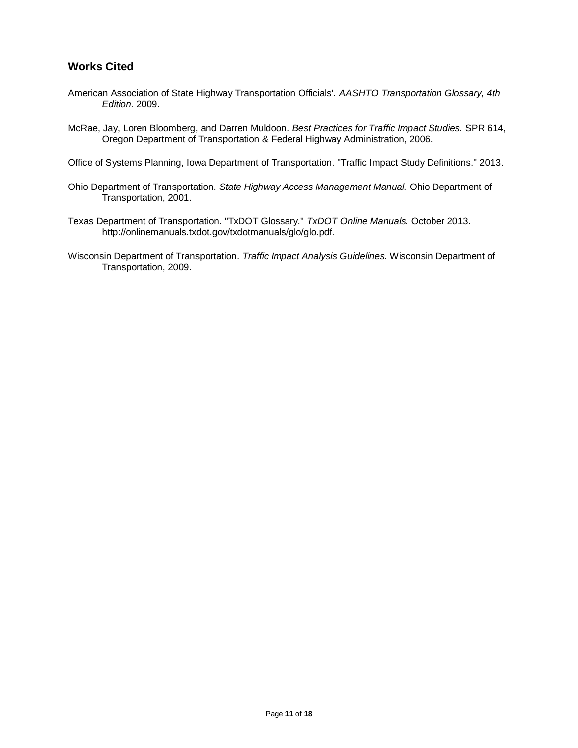## <span id="page-10-0"></span>**Works Cited**

- American Association of State Highway Transportation Officials'. *AASHTO Transportation Glossary, 4th Edition.* 2009.
- McRae, Jay, Loren Bloomberg, and Darren Muldoon. *Best Practices for Traffic Impact Studies.* SPR 614, Oregon Department of Transportation & Federal Highway Administration, 2006.

Office of Systems Planning, Iowa Department of Transportation. "Traffic Impact Study Definitions." 2013.

- Ohio Department of Transportation. *State Highway Access Management Manual.* Ohio Department of Transportation, 2001.
- Texas Department of Transportation. "TxDOT Glossary." *TxDOT Online Manuals.* October 2013. http://onlinemanuals.txdot.gov/txdotmanuals/glo/glo.pdf.
- Wisconsin Department of Transportation. *Traffic Impact Analysis Guidelines.* Wisconsin Department of Transportation, 2009.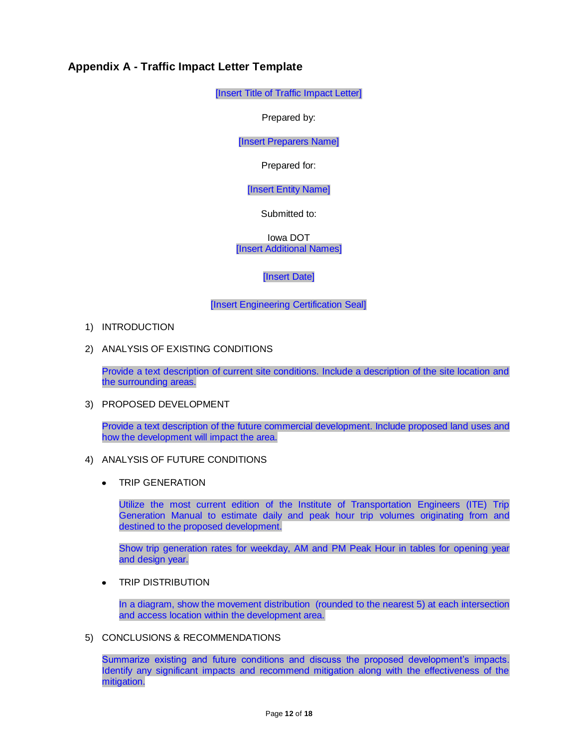## <span id="page-11-0"></span>**Appendix A - Traffic Impact Letter Template**

[Insert Title of Traffic Impact Letter]

Prepared by:

[Insert Preparers Name]

Prepared for:

[Insert Entity Name]

Submitted to:

Iowa DOT [Insert Additional Names]

[Insert Date]

[Insert Engineering Certification Seal]

- 1) INTRODUCTION
- 2) ANALYSIS OF EXISTING CONDITIONS

Provide a text description of current site conditions. Include a description of the site location and the surrounding areas.

3) PROPOSED DEVELOPMENT

Provide a text description of the future commercial development. Include proposed land uses and how the development will impact the area.

- 4) ANALYSIS OF FUTURE CONDITIONS
	- TRIP GENERATION  $\bullet$

Utilize the most current edition of the Institute of Transportation Engineers (ITE) Trip Generation Manual to estimate daily and peak hour trip volumes originating from and destined to the proposed development.

Show trip generation rates for weekday, AM and PM Peak Hour in tables for opening year and design year.

TRIP DISTRIBUTION  $\bullet$ 

> In a diagram, show the movement distribution (rounded to the nearest 5) at each intersection and access location within the development area.

5) CONCLUSIONS & RECOMMENDATIONS

Summarize existing and future conditions and discuss the proposed development's impacts. Identify any significant impacts and recommend mitigation along with the effectiveness of the mitigation.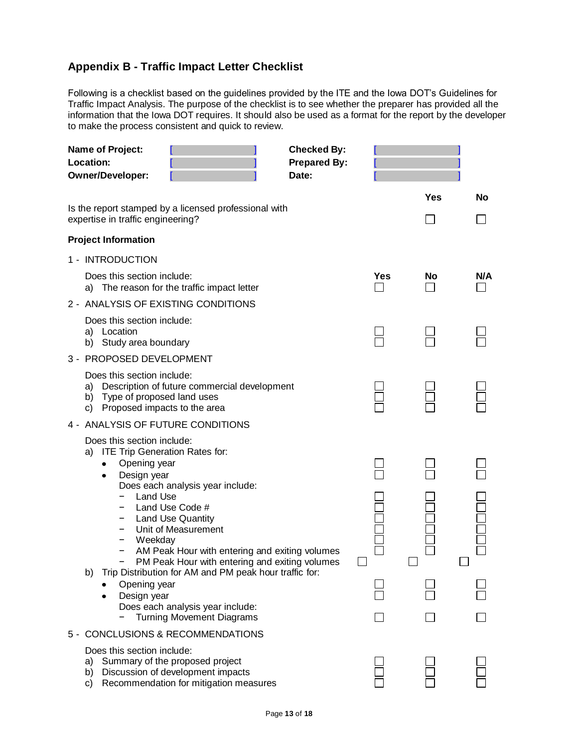# <span id="page-12-0"></span>**Appendix B - Traffic Impact Letter Checklist**

Following is a checklist based on the guidelines provided by the ITE and the Iowa DOT's Guidelines for Traffic Impact Analysis. The purpose of the checklist is to see whether the preparer has provided all the information that the Iowa DOT requires. It should also be used as a format for the report by the developer to make the process consistent and quick to review.

| <b>Name of Project:</b><br>Location:<br><b>Owner/Developer:</b>                                                                                                                                                                                                                                                                                                                                                    | <b>Checked By:</b><br><b>Prepared By:</b><br>Date: |     |            |           |  |
|--------------------------------------------------------------------------------------------------------------------------------------------------------------------------------------------------------------------------------------------------------------------------------------------------------------------------------------------------------------------------------------------------------------------|----------------------------------------------------|-----|------------|-----------|--|
| Is the report stamped by a licensed professional with<br>expertise in traffic engineering?                                                                                                                                                                                                                                                                                                                         |                                                    |     | <b>Yes</b> | <b>No</b> |  |
| <b>Project Information</b>                                                                                                                                                                                                                                                                                                                                                                                         |                                                    |     |            |           |  |
| 1 - INTRODUCTION                                                                                                                                                                                                                                                                                                                                                                                                   |                                                    |     |            |           |  |
| Does this section include:<br>a) The reason for the traffic impact letter                                                                                                                                                                                                                                                                                                                                          |                                                    | Yes | No         | N/A       |  |
| 2 - ANALYSIS OF EXISTING CONDITIONS                                                                                                                                                                                                                                                                                                                                                                                |                                                    |     |            |           |  |
| Does this section include:<br>a) Location<br>b) Study area boundary                                                                                                                                                                                                                                                                                                                                                |                                                    |     |            |           |  |
| 3 - PROPOSED DEVELOPMENT                                                                                                                                                                                                                                                                                                                                                                                           |                                                    |     |            |           |  |
| Does this section include:<br>Description of future commercial development<br>a)<br>b) Type of proposed land uses<br>Proposed impacts to the area<br>C)                                                                                                                                                                                                                                                            |                                                    |     |            |           |  |
| 4 - ANALYSIS OF FUTURE CONDITIONS                                                                                                                                                                                                                                                                                                                                                                                  |                                                    |     |            |           |  |
| Does this section include:<br><b>ITE Trip Generation Rates for:</b><br>a)<br>Opening year<br>Design year<br>Does each analysis year include:<br>Land Use<br>Land Use Code #<br><b>Land Use Quantity</b><br>Unit of Measurement<br>-<br>Weekday<br>AM Peak Hour with entering and exiting volumes<br>PM Peak Hour with entering and exiting volumes<br>Trip Distribution for AM and PM peak hour traffic for:<br>b) |                                                    |     |            |           |  |
| Opening year<br>Design year<br>Does each analysis year include:                                                                                                                                                                                                                                                                                                                                                    |                                                    |     |            |           |  |
| <b>Turning Movement Diagrams</b><br>5 - CONCLUSIONS & RECOMMENDATIONS                                                                                                                                                                                                                                                                                                                                              |                                                    |     |            |           |  |
| Does this section include:<br>Summary of the proposed project<br>a)<br>Discussion of development impacts<br>b)<br>Recommendation for mitigation measures<br>C)                                                                                                                                                                                                                                                     |                                                    |     |            |           |  |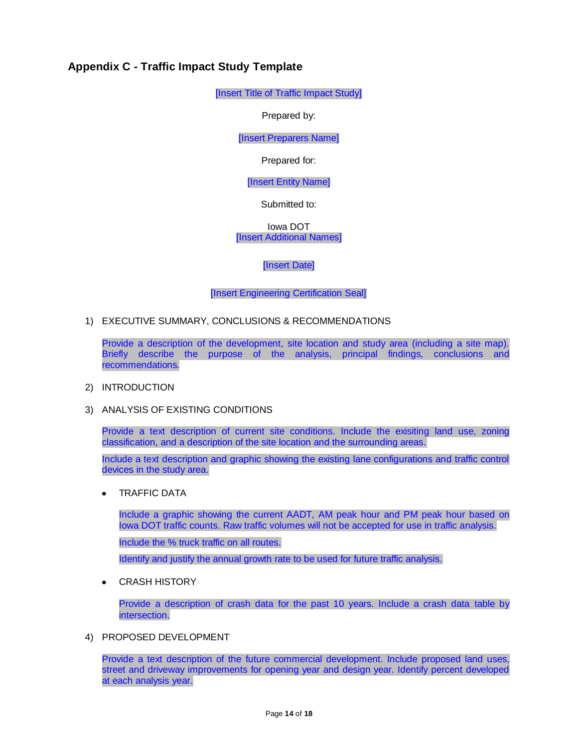## <span id="page-13-0"></span>**Appendix C - Traffic Impact Study Template**

[Insert Title of Traffic Impact Study]

Prepared by:

[Insert Preparers Name]

Prepared for:

[Insert Entity Name]

Submitted to:

Iowa DOT [Insert Additional Names]

[Insert Date]

[Insert Engineering Certification Seal]

1) EXECUTIVE SUMMARY, CONCLUSIONS & RECOMMENDATIONS

Provide a description of the development, site location and study area (including a site map). Briefly describe the purpose of the analysis, principal findings, conclusions and recommendations.

#### 2) INTRODUCTION

3) ANALYSIS OF EXISTING CONDITIONS

Provide a text description of current site conditions. Include the exisiting land use, zoning classification, and a description of the site location and the surrounding areas.

Include a text description and graphic showing the existing lane configurations and traffic control devices in the study area.

TRAFFIC DATA  $\bullet$ 

> Include a graphic showing the current AADT, AM peak hour and PM peak hour based on Iowa DOT traffic counts. Raw traffic volumes will not be accepted for use in traffic analysis.

Include the % truck traffic on all routes.

Identify and justify the annual growth rate to be used for future traffic analysis.

CRASH HISTORY  $\bullet$ 

> Provide a description of crash data for the past 10 years. Include a crash data table by intersection.

4) PROPOSED DEVELOPMENT

Provide a text description of the future commercial development. Include proposed land uses, street and driveway improvements for opening year and design year. Identify percent developed at each analysis year.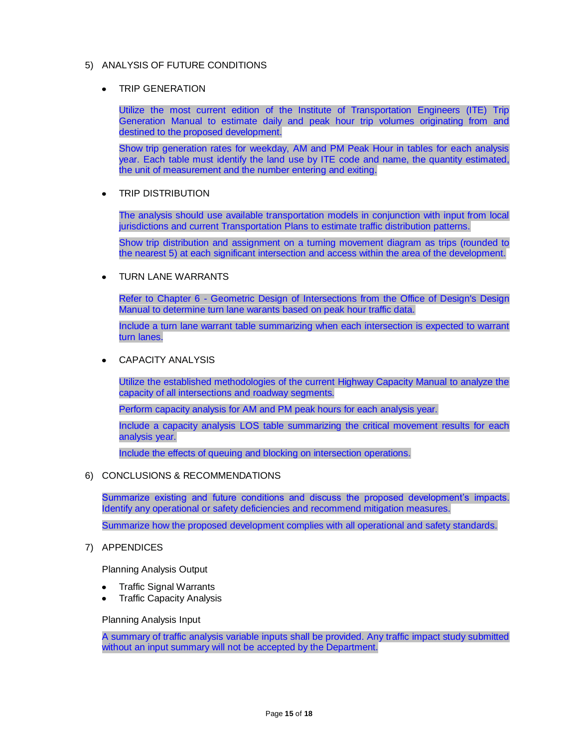### 5) ANALYSIS OF FUTURE CONDITIONS

TRIP GENERATION

Utilize the most current edition of the Institute of Transportation Engineers (ITE) Trip Generation Manual to estimate daily and peak hour trip volumes originating from and destined to the proposed development.

Show trip generation rates for weekday, AM and PM Peak Hour in tables for each analysis year. Each table must identify the land use by ITE code and name, the quantity estimated, the unit of measurement and the number entering and exiting.

TRIP DISTRIBUTION  $\bullet$ 

> The analysis should use available transportation models in conjunction with input from local jurisdictions and current Transportation Plans to estimate traffic distribution patterns.

> Show trip distribution and assignment on a turning movement diagram as trips (rounded to the nearest 5) at each significant intersection and access within the area of the development.

TURN LANE WARRANTS  $\bullet$ 

> Refer to Chapter 6 - Geometric Design of Intersections from the Office of Design's Design Manual to determine turn lane warants based on peak hour traffic data.

> Include a turn lane warrant table summarizing when each intersection is expected to warrant turn lanes.

CAPACITY ANALYSIS

Utilize the established methodologies of the current Highway Capacity Manual to analyze the capacity of all intersections and roadway segments.

Perform capacity analysis for AM and PM peak hours for each analysis year.

Include a capacity analysis LOS table summarizing the critical movement results for each analysis year.

Include the effects of queuing and blocking on intersection operations.

#### 6) CONCLUSIONS & RECOMMENDATIONS

Summarize existing and future conditions and discuss the proposed development's impacts. Identify any operational or safety deficiencies and recommend mitigation measures.

Summarize how the proposed development complies with all operational and safety standards.

7) APPENDICES

Planning Analysis Output

- Traffic Signal Warrants
- Traffic Capacity Analysis

#### Planning Analysis Input

A summary of traffic analysis variable inputs shall be provided. Any traffic impact study submitted without an input summary will not be accepted by the Department.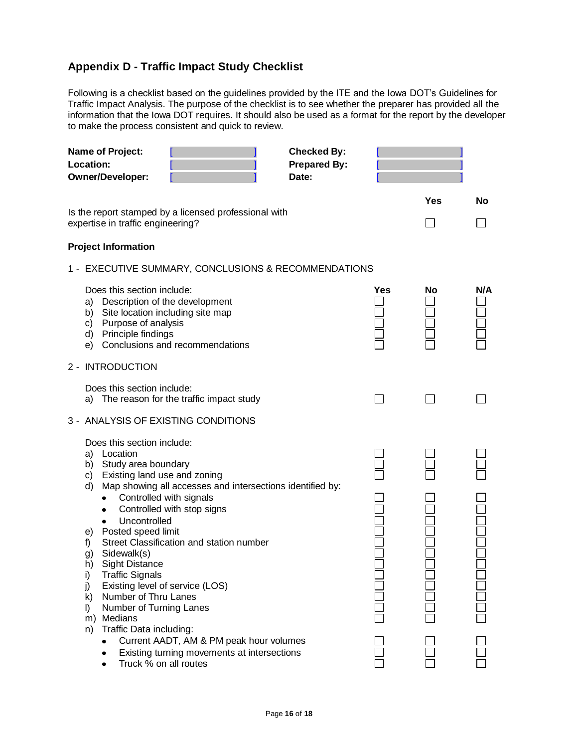# <span id="page-15-0"></span>**Appendix D - Traffic Impact Study Checklist**

Following is a checklist based on the guidelines provided by the ITE and the Iowa DOT's Guidelines for Traffic Impact Analysis. The purpose of the checklist is to see whether the preparer has provided all the information that the Iowa DOT requires. It should also be used as a format for the report by the developer to make the process consistent and quick to review.

| Name of Project:<br>Location:<br><b>Owner/Developer:</b>                                                                                                                                                                                                                                                                                                                                                                                                                                                                                                                                                                                                          | <b>Checked By:</b><br><b>Prepared By:</b><br>Date: |            |           |     |
|-------------------------------------------------------------------------------------------------------------------------------------------------------------------------------------------------------------------------------------------------------------------------------------------------------------------------------------------------------------------------------------------------------------------------------------------------------------------------------------------------------------------------------------------------------------------------------------------------------------------------------------------------------------------|----------------------------------------------------|------------|-----------|-----|
| Is the report stamped by a licensed professional with<br>expertise in traffic engineering?                                                                                                                                                                                                                                                                                                                                                                                                                                                                                                                                                                        |                                                    | <b>Yes</b> | <b>No</b> |     |
| <b>Project Information</b>                                                                                                                                                                                                                                                                                                                                                                                                                                                                                                                                                                                                                                        |                                                    |            |           |     |
| 1 - EXECUTIVE SUMMARY, CONCLUSIONS & RECOMMENDATIONS                                                                                                                                                                                                                                                                                                                                                                                                                                                                                                                                                                                                              |                                                    |            |           |     |
| Does this section include:<br>Description of the development<br>a)<br>b) Site location including site map<br>c) Purpose of analysis<br>d) Principle findings<br>Conclusions and recommendations<br>e)                                                                                                                                                                                                                                                                                                                                                                                                                                                             |                                                    | Yes        | No        | N/A |
| 2 - INTRODUCTION                                                                                                                                                                                                                                                                                                                                                                                                                                                                                                                                                                                                                                                  |                                                    |            |           |     |
| Does this section include:<br>The reason for the traffic impact study<br>a)                                                                                                                                                                                                                                                                                                                                                                                                                                                                                                                                                                                       |                                                    |            |           |     |
| 3 - ANALYSIS OF EXISTING CONDITIONS<br>Does this section include:<br>a) Location<br>b) Study area boundary<br>Existing land use and zoning<br>C)<br>Map showing all accesses and intersections identified by:<br>d)<br>Controlled with signals<br>$\bullet$<br>Controlled with stop signs<br>٠<br>Uncontrolled<br>$\bullet$<br>Posted speed limit<br>e)<br>Street Classification and station number<br>f)<br>Sidewalk(s)<br>g)<br><b>Sight Distance</b><br>h)<br><b>Traffic Signals</b><br>i)<br>j)<br>Existing level of service (LOS)<br>Number of Thru Lanes<br>k)<br>Number of Turning Lanes<br>$\mathsf{I}$<br>Medians<br>m)<br>Traffic Data including:<br>n) |                                                    |            |           |     |
| Current AADT, AM & PM peak hour volumes<br>Existing turning movements at intersections<br>Truck % on all routes                                                                                                                                                                                                                                                                                                                                                                                                                                                                                                                                                   |                                                    |            |           |     |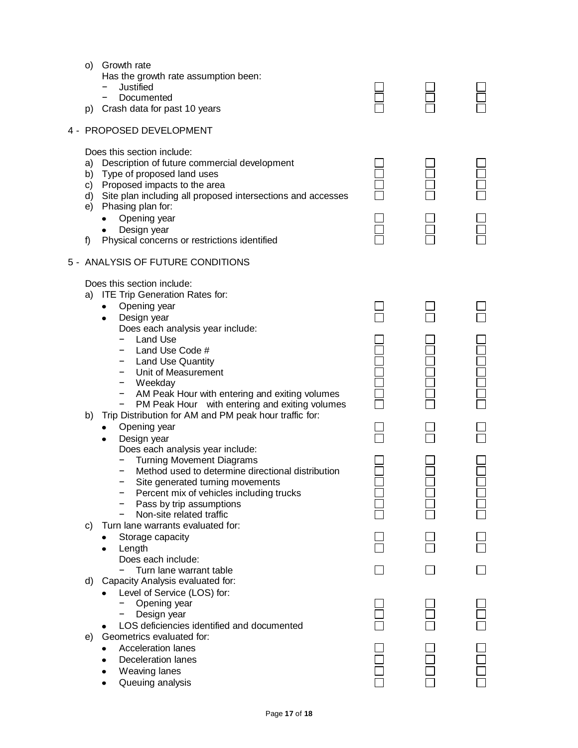| p)             | o) Growth rate<br>Has the growth rate assumption been:<br>Justified<br>Documented<br>Crash data for past 10 years                                                                                                                                                                                                                                                                                                                                                                                                                                                                                                                                                                                                                                                                                                                                        |  |  |
|----------------|----------------------------------------------------------------------------------------------------------------------------------------------------------------------------------------------------------------------------------------------------------------------------------------------------------------------------------------------------------------------------------------------------------------------------------------------------------------------------------------------------------------------------------------------------------------------------------------------------------------------------------------------------------------------------------------------------------------------------------------------------------------------------------------------------------------------------------------------------------|--|--|
|                | 4 - PROPOSED DEVELOPMENT                                                                                                                                                                                                                                                                                                                                                                                                                                                                                                                                                                                                                                                                                                                                                                                                                                 |  |  |
| a)<br>f)       | Does this section include:<br>Description of future commercial development<br>b) Type of proposed land uses<br>c) Proposed impacts to the area<br>d) Site plan including all proposed intersections and accesses<br>e) Phasing plan for:<br>Opening year<br>Design year<br>Physical concerns or restrictions identified<br>5 - ANALYSIS OF FUTURE CONDITIONS                                                                                                                                                                                                                                                                                                                                                                                                                                                                                             |  |  |
| a)<br>b)<br>C) | Does this section include:<br><b>ITE Trip Generation Rates for:</b><br>Opening year<br>٠<br>Design year<br>$\bullet$<br>Does each analysis year include:<br>Land Use<br>Land Use Code #<br><b>Land Use Quantity</b><br>Unit of Measurement<br>Weekday<br>AM Peak Hour with entering and exiting volumes<br>PM Peak Hour with entering and exiting volumes<br>Trip Distribution for AM and PM peak hour traffic for:<br>Opening year<br>Design year<br>$\bullet$<br>Does each analysis year include:<br><b>Turning Movement Diagrams</b><br>Method used to determine directional distribution<br>Site generated turning movements<br>Percent mix of vehicles including trucks<br>Pass by trip assumptions<br>Non-site related traffic<br>Turn lane warrants evaluated for:<br>Storage capacity<br>Length<br>Does each include:<br>Turn lane warrant table |  |  |
| d)             | Capacity Analysis evaluated for:<br>Level of Service (LOS) for:<br>Opening year<br>Design year<br>LOS deficiencies identified and documented                                                                                                                                                                                                                                                                                                                                                                                                                                                                                                                                                                                                                                                                                                             |  |  |
| e)             | Geometrics evaluated for:<br><b>Acceleration lanes</b><br><b>Deceleration lanes</b><br>Weaving lanes<br>Queuing analysis                                                                                                                                                                                                                                                                                                                                                                                                                                                                                                                                                                                                                                                                                                                                 |  |  |